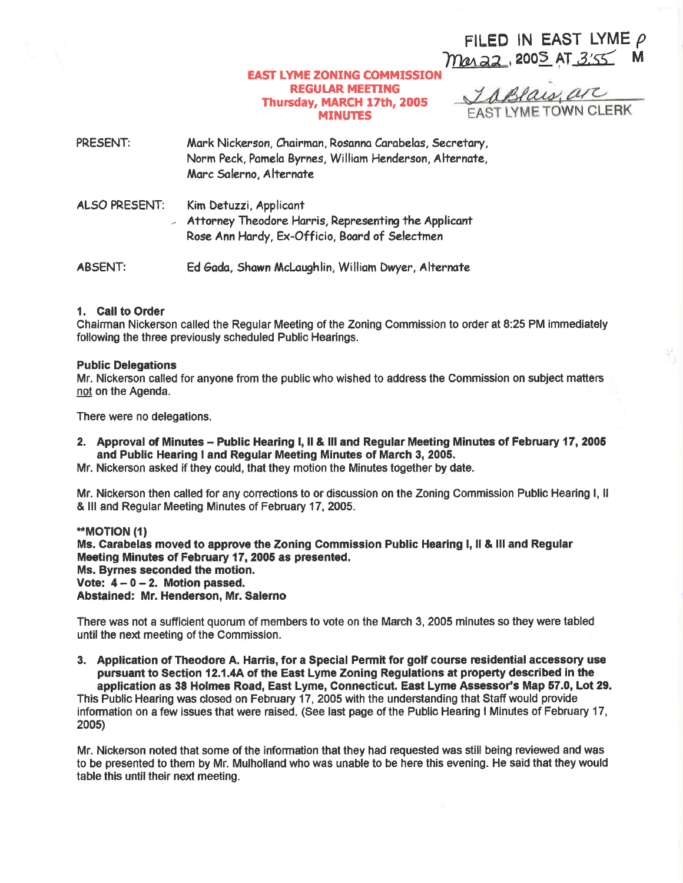FILED IN EAST LYME  $\rho$ maraz, 2005 AT 3:55 M

## **EAST LYME ZONING COMMISSION REGULAR MEETING** Thursday, MARCH 17th, 2005 **MINUTES**

Taplais are **FAST LYME TOWN CLERK** 

PRESENT: Mark Nickerson, Chairman, Rosanna Carabelas, Secretary, Norm Peck, Pamela Byrnes, William Henderson, Alternate, Marc Salerno, Alternate

**ALSO PRESENT:** Kim Detuzzi, Applicant Attorney Theodore Harris, Representing the Applicant Rose Ann Hardy, Ex-Officio, Board of Selectmen

**ABSENT:** Ed Gada, Shawn McLaughlin, William Dwyer, Alternate

### 1. Call to Order

Chairman Nickerson called the Regular Meeting of the Zoning Commission to order at 8:25 PM immediately following the three previously scheduled Public Hearings.

#### **Public Delegations**

Mr. Nickerson called for anyone from the public who wished to address the Commission on subject matters not on the Agenda.

There were no delegations.

2. Approval of Minutes - Public Hearing I, II & III and Regular Meeting Minutes of February 17, 2005 and Public Hearing I and Regular Meeting Minutes of March 3, 2005.

Mr. Nickerson asked if they could, that they motion the Minutes together by date.

Mr. Nickerson then called for any corrections to or discussion on the Zoning Commission Public Hearing I, II & III and Regular Meeting Minutes of February 17, 2005.

\*\*MOTION (1) Ms. Carabelas moved to approve the Zoning Commission Public Hearing I, II & III and Regular Meeting Minutes of February 17, 2005 as presented. Ms. Byrnes seconded the motion. Vote:  $4 - 0 - 2$ . Motion passed. Abstained: Mr. Henderson, Mr. Salerno

There was not a sufficient quorum of members to vote on the March 3, 2005 minutes so they were tabled until the next meeting of the Commission.

3. Application of Theodore A. Harris, for a Special Permit for golf course residential accessory use pursuant to Section 12.1.4A of the East Lyme Zoning Regulations at property described in the application as 38 Holmes Road, East Lyme, Connecticut. East Lyme Assessor's Map 57.0, Lot 29.

This Public Hearing was closed on February 17, 2005 with the understanding that Staff would provide information on a few issues that were raised. (See last page of the Public Hearing I Minutes of February 17, 2005)

Mr. Nickerson noted that some of the information that they had requested was still being reviewed and was to be presented to them by Mr. Mulholland who was unable to be here this evening. He said that they would table this until their next meeting.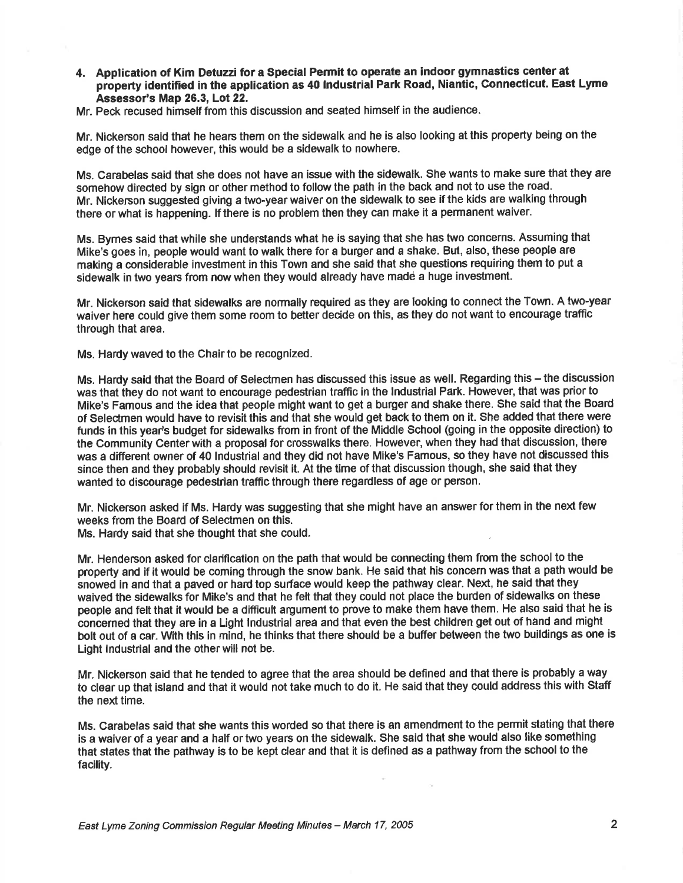- 4. Application of Kim Detuzzi for a Special Permit to operate an indoor gymnastics center at property identified in the application as 40 lndustrial Park Road, Niantic, Gonnecticut. East Lyme Assessor's Map 26.3, Lot 22.
- Mr. Peck recused himself from this discussion and seated himself in the audience.

Mr. Nickerson said that he hears them on the sidewalk and he is also looking at this property being on the edge of the school however, this would be a sidewalk to nowhere.

Ms. Carabelas said that she does not have an issue with the sidewalk. She wants to make sure that they are somehow directed by sign or other method to follow the path in the back and not to use the road. Mr. Nickerson suggested giving a two-year waiver on the sidewalk to see if the kids are walking through there or what is happening. lf there is no problem then they can make it a permanent waiver.

Ms. Bymes said that while she understands what he is saying that she has two concerns. Assuming that Mike's goes in, people would want to walk there for a burger and a shako. But, also, these people are making a considerable investment in this Town and she said that she questions requiring them to put a sidewalk in two years from now when they would already have madd a huge investment.

Mr. Nickerson said that sidewalks are normally required as they are looking to connect the Town. A two-year waiver here could give them some room to better decide on this, as they do not want to encourage traffic through that area.

Ms. Hardy waved to the Chair to be recognized.

Ms. Hardy said that the Board of Selectmen has discussed this issue as well. Regarding this – the discussion was that they do not want to encourage pedestrian traffio in the lndustrial Park. However, that was prior to Mike's Famous and the idea that people might want to get a burger and shake there. \$he said that the Board of Seledmen would have to revisit this and that she would get back to them on it. She added that there were funds in this year's budget for sidewalks from in front of the Middle School (going in the opposite direction) to the Community Center with a proposal for crosswalks there. However, when they had that discussion, thefe was a different owner of 40 Industrial and they did not have Mike's Famous, so they have not discussed this since then and they probably should revisit it, At the time of that discussion though, she said that they wanted to discourage pedestrian traffic through there regardless of age or person.

Mr. Nickerson asked if Ms. Hardy was suggesting that she might have an answer for them in the next few weeks from the Board of Selectmen on this.

Ms. Hardy said that she thought that she could.

Mr. Henderson asked for clarification on the path that would be connecting them from the school to the property and if it would be coming through the snow bank. He said that his concern was that a path would be snowed in and that a paved or hard top surface would keep the pathway clear. Next, he said that they waived the sidewalks for Mike's and that he felt that they could not place the burden of sidewalks on these people and felt that it would be a difficult argument to prove to meke them have them. He also said that he is concerned that they are in a Light lndustrial area and that even the best children get out of hand and might bolt out of a car. With this in mind, he thinks that there should be a buffer between the two buildings as one is Light lndustrial and the other will not be.

Mr. Nlckerson said that he tended to agree that the area should be defined and that there is probably a way to clear up that island and that it would not take much to do it. He said that they could address this with Staff the next time.

Ms. Carabelas said that she wants this worded so that there is an amendment to the permit stating that there is a waiver of a year and a half or two years on the sidewalk. She said that she would also like something that states that the pathway is to be kept clear and that it is defined as a pathway from the school to the facility.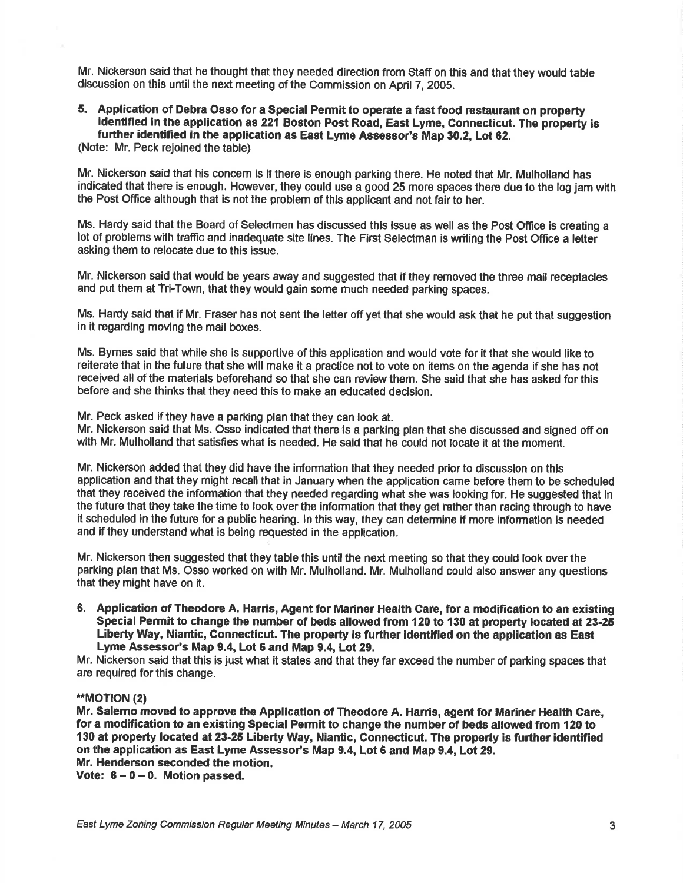Mr. Nickerson said that he thought that they needed direction from Staff on this and that they would table discussion on this until the next meeting of the Commission on April 7, 2005.

#### 5. Application of Debra Osso for a Special Permit to operate a fast food restaurant on property identified in the application as 221 Boston Post Road, East Lyme, Connecticut. The property is further identified in the application as East Lyme Assessor's Map 30.2, Lot 62.

(Note: Mr. Peck rejoined the table)

Mr. Nickerson said that his concem is if there is enough parking there. He noted that Mr. Mulholland has indicated that there is enough. However, they could use a good 25 more spaces there due to the log jam with the Post Office although that is not the problem of this applicant and not fair to her.

Ms. Hardy said that the Board of Selectmen has discussed this issue as well as the Post Office is creating a lot of problems with traffic and inadequate site lines. The First Selectman is writing the Post Office a letter asking them to relooate due to this issue.

Mr. Nickerson said that would be years away and suggested that if they removed the three mail receptacles and put them at Tri-Town, that they would gain some much needed parking spaces.

Ms. Hardy said that if Mr. Fraser has not sent the letter off yet that she would ask that he put that suggestion in it regarding moving the mail boxes.

Ms. Bymes said that while she is supportive of this application and would vote for it that she would like to reiterate that in the future that she will make it a practice not to vote on items on the agenda if she has not received all of the materials beforehand so that she can review them. She said that she has asked for this before and she thinks that they need this to make an educated decision.

Mr. Peck asked if they have a parking plan that they can look at.

Mr. Nickerson said that Ms. Osso indicated that there is a parking plan that she discussed and signed off on with Mr. Mulholland that satisfies what is needed. He said that he could not locate it at the moment.

Mr. Nickerson added that they did have the information that they needed priorto discussion on this application and that they might recall that in January when the application came before them to be scheduled that they received the information that they needed regarding what she was looking for. He suggested that in the future that they take the time to look over the information that they get ratherthan racing through to have it scheduled in the future for a public hearing. ln this way, they can determine if more information is needed and if they understand what is being requested in the application.

Mr. Nickerson then suggested that they table this until the next meeting so that they could look over the parking plan that Ms. Osso worked on with Mr. Mulholland. Mr. Mulholland could also answer any questions that they might have on it.

6. Application of Theodore A. Harris, Agent for Mariner Health Care, for a modification to an existing Special Permit to change the number of beds allowed from 120 to 130 at property located at 23-25 Liberty Way, Niantic, Connecticut. The property is further identified on the application as East Lyme Assessor's Map 9.4, Lot 6 and Map 9.4, Lot 29.

Mr. Nickerson said that this is just what it states and that they far exceed the number of parking spaces that are required for this change.

## \*\*MOTION (2)

Mr. Salemo moved to approve the Application of Theodore A. Harris, agent for Mariner Health Carc, for a modification to an existing Special Permit to change the number of beds allowed fiom 120 to 130 at property located at 23-25 Liberty Way, Niantic, Connecticut. The property is further identified on the application as East Lyme Assessor's Map 9.4, Lot 6 and Map 9.4, Lot 29. Mr. Henderson seconded the motion.

Vote:  $6 - 0 - 0$ . Motion passed.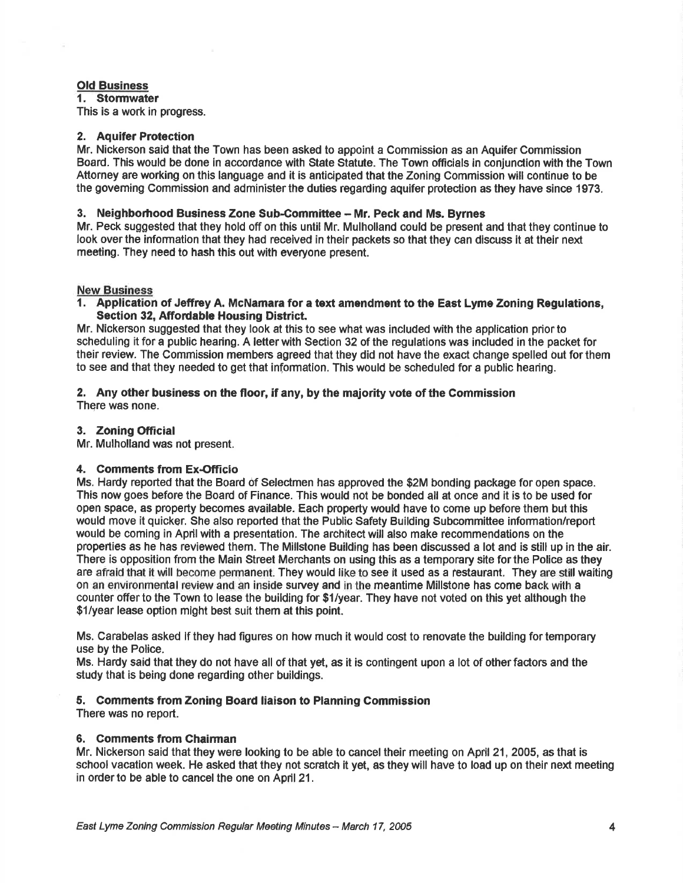# Old Business

1. Stormwater

This is a work in progress.

#### 2. Aquifer Protection

Mr. Nickerson said that the Town has been asked to appoint a Commission as an Aquifer Commission Board. This would be done in accordance with State Statute. The Town officials in conjunction with the Town Attorney are working on this language and it is anticipated that the Zoning Commission will continue to be the goveming Commission and administerthe duties regarding aquifer protection as they have since 1973.

## 3. Neighborhood Business Zone Sub.Committee - Mr. Peck and Ms. Byrnes

Mr. Peck suggested that they hold off on this until Mr. Mulholland could be present and that they continue to look over the information that they had received in their packets so that they can discuss it at their next meeting. They need to hash this out with everyone present.

### **New Business**

1. Application of Jeffrcy A. McNamara for a text amendment to the East Lyme Zoning Regulations, Section 32, Affordable Housing District.

Mr. Nickerson suggested that they look at this to see what was included with the application prior to scheduling it for a public hearing. A letter with Section 32 of the regulations was included in the packet for their review. The Commission members agreed that they did not have the exact change spelled out for them to see and that they needed to get that information. This would be soheduled for a public hearing.

#### 2. Any other business on the floor, if any, by the majority vote of the Commission There was none.

### 3. Zoning Official

Mr. Mulholland was not present.

### 4. Comments from Ex-Officio

Ms. Hardy reported that the Board 0f Selectmen has approved the \$2M bonding package for open space. This now goes before the Board of Finance. This would not be bonded all at once and it is to be used for open space, as property becomes available. Each property would have to come up before them but this would move it quicker. She also reported that the Public Safety Building Subcommittee information/report would be coming in April with a presentation. The architect will also make recommendations on the properties as he has reviewed them. The Millstone Building has been discussed a lot and is still up in the air. There is opposition from the Main Street Merchants on using this as a temporary site forthe Police as they are afraid that it will become permanent. They would like to see it used as a restaurant. They are still waiting on an environmental review and an inside survey and in the meantime Millstone has come back with a counter offer to the Town to lease the building for \$1/year. They have not voted on this yet although the \$1/year lease option might best suit them at this point.

Ms. Carabelas asked lf they had figures on how much it would cost to renovate the building for temporary use by the Police.

Ms. Hardy said that they do not have all of that yet, as it is contingent upon a lot of other factors and the study that is being done regarding other buildings.

### 5. Comments from Zoning Board liaison to Planning Commission

There was no report.

### 6. Comments from Chairman

Mr. Nickerson said that they were looking to be able to cancel their meeting on April 21, 2005, as that is school vacation week. He asked that they not scratch it yet, as they will have to load up on their next meeting in order to be able to cancel the one on April 21.